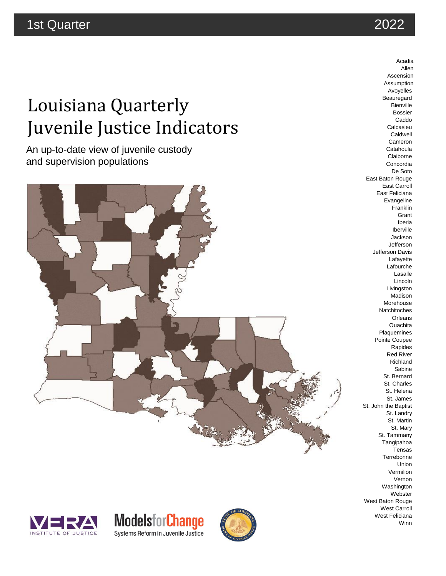# Louisiana Quarterly Juvenile Justice Indicators

An up-to-date view of juvenile custody and supervision populations



Beauregard Bienville Bossier Caddo Calcasieu Caldwell Cameron **Catahoula** Claiborne Concordia De Soto East Baton Rouge East Carroll East Feliciana Evangeline Franklin Grant Iberia Iberville Jackson Jefferson Jefferson Davis Lafayette Lafourche Lasalle Lincoln Livingston Madison Morehouse Natchitoches **Orleans Ouachita** Plaquemines Pointe Coupee Rapides Red River Richland **Sabine** St. Bernard St. Charles St. Helena St. James St. John the Baptist St. Landry St. Martin St. Mary St. Tammany Tangipahoa Tensas Terrebonne Union Vermilion Vernon Washington **Webster** West Baton Rouge West Carroll West Feliciana Winn







2022

Acadia Allen Ascension Assumption Avoyelles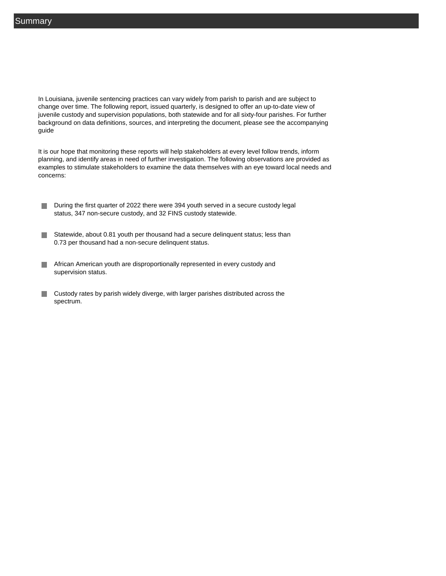In Louisiana, juvenile sentencing practices can vary widely from parish to parish and are subject to change over time. The following report, issued quarterly, is designed to offer an up-to-date view of juvenile custody and supervision populations, both statewide and for all sixty-four parishes. For further background on data definitions, sources, and interpreting the document, please see the accompanying guide

It is our hope that monitoring these reports will help stakeholders at every level follow trends, inform planning, and identify areas in need of further investigation. The following observations are provided as examples to stimulate stakeholders to examine the data themselves with an eye toward local needs and concerns:

- During the first quarter of 2022 there were 394 youth served in a secure custody legal П status, 347 non-secure custody, and 32 FINS custody statewide.
- Statewide, about 0.81 youth per thousand had a secure delinquent status; less than 0.73 per thousand had a non-secure delinquent status.
- **African American youth are disproportionally represented in every custody and** supervision status.
- Custody rates by parish widely diverge, with larger parishes distributed across the  $\mathcal{C}^{\mathcal{A}}$ spectrum.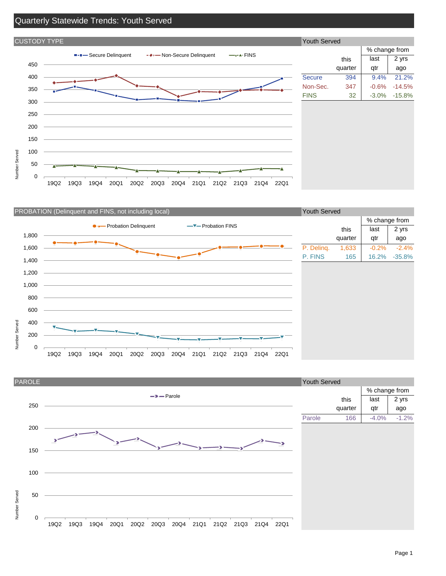### Quarterly Statewide Trends: Youth Served



| <b>Youth Served</b> |         |               |          |
|---------------------|---------|---------------|----------|
|                     |         | % change from |          |
|                     | this    | last          | 2 yrs    |
|                     | quarter | qtr           | ago      |
| <b>Secure</b>       | 394     | 9.4%          | 21.2%    |
| Non-Sec.            | 347     | $-0.6\%$      | $-14.5%$ |
| <b>FINS</b>         | 32      | -3.0%         | $-15.8%$ |
|                     |         |               |          |
|                     |         |               |          |
|                     |         |               |          |
|                     |         |               |          |
|                     |         |               |          |
|                     |         |               |          |
|                     |         |               |          |
|                     |         |               |          |
|                     |         |               |          |
|                     |         |               |          |





#### Page 1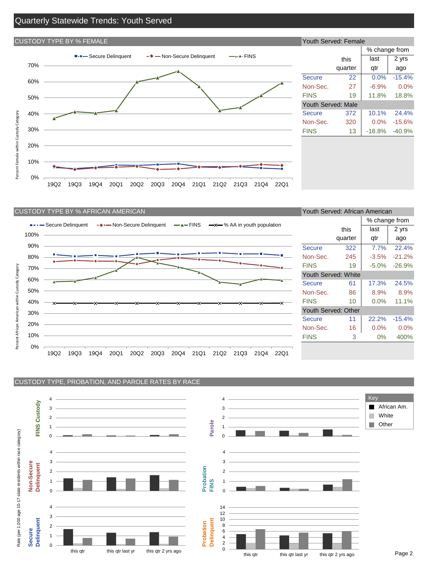#### Quarterly Statewide Trends: Youth Served

## CUSTODY TYPE BY % FEMALE ■-■- Secure Delinquent → - Non-Secure Delinquent → - FINS 70% 60% 50% Percent Female within Custody Category 40% Percent Female within Custody Category 30% 20% 10% 0% 19Q2 19Q3 19Q4 20Q1 20Q2 20Q3 20Q4 21Q1 21Q2 21Q3 21Q4 22Q1

| Youth Served: Female |               |          |  |  |  |  |  |  |  |  |
|----------------------|---------------|----------|--|--|--|--|--|--|--|--|
|                      | % change from |          |  |  |  |  |  |  |  |  |
| this                 | last          | 2 yrs    |  |  |  |  |  |  |  |  |
| quarter              | qtr           | ago      |  |  |  |  |  |  |  |  |
| 22                   | 0.0%          | $-15.4%$ |  |  |  |  |  |  |  |  |
| 27                   | $-6.9%$       | 0.0%     |  |  |  |  |  |  |  |  |
| 19                   | 11.8%         | 18.8%    |  |  |  |  |  |  |  |  |
| Youth Served: Male   |               |          |  |  |  |  |  |  |  |  |
| 372                  | 10.1%         | 24.4%    |  |  |  |  |  |  |  |  |
| 320                  | 0.0%          | $-15.6%$ |  |  |  |  |  |  |  |  |
| 13                   | $-18.8%$      | $-40.9%$ |  |  |  |  |  |  |  |  |
|                      |               |          |  |  |  |  |  |  |  |  |
|                      |               |          |  |  |  |  |  |  |  |  |



| Youth Served: African American |         |               |          |  |  |  |  |  |  |  |
|--------------------------------|---------|---------------|----------|--|--|--|--|--|--|--|
|                                |         | % change from |          |  |  |  |  |  |  |  |
|                                | this    | last          | 2 yrs    |  |  |  |  |  |  |  |
|                                | quarter | qtr           | ago      |  |  |  |  |  |  |  |
| <b>Secure</b>                  | 322     | 7.7%          | 22.4%    |  |  |  |  |  |  |  |
| Non-Sec.                       | 245     | $-3.5%$       | $-21.2%$ |  |  |  |  |  |  |  |
| <b>FINS</b>                    | 19      | $-5.0%$       | $-26.9%$ |  |  |  |  |  |  |  |
| Youth Served: White            |         |               |          |  |  |  |  |  |  |  |
| Secure                         | 61      | 17.3%         | 24.5%    |  |  |  |  |  |  |  |
| Non-Sec.                       | 86      | $8.9\%$       | $8.9\%$  |  |  |  |  |  |  |  |
| <b>FINS</b>                    | 10      | $0.0\%$       | 11.1%    |  |  |  |  |  |  |  |
| Youth Served: Other            |         |               |          |  |  |  |  |  |  |  |
| Secure                         | 11      | 22.2%         | $-15.4%$ |  |  |  |  |  |  |  |
| Non-Sec.                       | 16      | $0.0\%$       | $0.0\%$  |  |  |  |  |  |  |  |
| <b>FINS</b>                    | 3       | $0\%$         | 400%     |  |  |  |  |  |  |  |
|                                |         |               |          |  |  |  |  |  |  |  |

CUSTODY TYPE, PROBATION, AND PAROLE RATES BY RACE

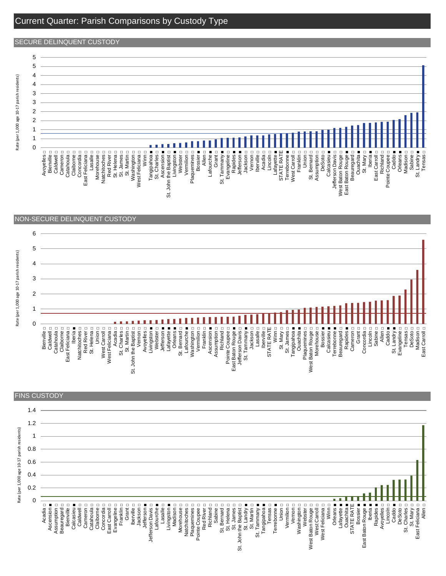#### Current Quarter: Parish Comparisons by Custody Type

#### SECURE DELINQUENT CUSTODY







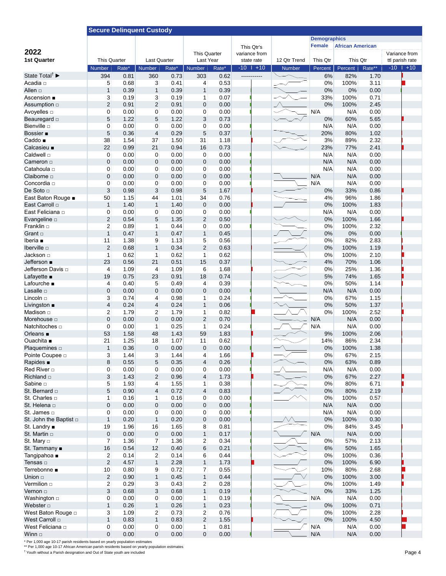|                                                   | <b>Secure Delinquent Custody</b> |               |                         |               |                                |               |                             |               |                     |                         |              |                                  |  |  |
|---------------------------------------------------|----------------------------------|---------------|-------------------------|---------------|--------------------------------|---------------|-----------------------------|---------------|---------------------|-------------------------|--------------|----------------------------------|--|--|
|                                                   |                                  |               |                         |               |                                |               |                             |               | <b>Demographics</b> |                         |              |                                  |  |  |
|                                                   |                                  |               |                         |               |                                |               | This Qtr's                  |               | <b>Female</b>       | <b>African American</b> |              |                                  |  |  |
| 2022                                              |                                  |               |                         |               | This Quarter                   |               | variance from               |               |                     |                         |              | Variance from                    |  |  |
| <b>1st Quarter</b>                                | <b>This Quarter</b>              |               | <b>Last Quarter</b>     |               | Last Year                      |               | state rate<br>$-10$   $+10$ | 12 Qtr Trend  | This Qtr            | This Qtr<br>Percent     | Rate**       | ttl parish rate<br>$-10$   $+10$ |  |  |
| State Total <sup>†</sup>                          | <b>Number</b><br>394             | Rate*<br>0.81 | <b>Number</b><br>360    | Rate*<br>0.73 | Number<br>303                  | Rate*<br>0.62 | -----------                 | <b>Number</b> | Percent<br>6%       | 82%                     | 1.70         |                                  |  |  |
| Acadia □                                          | 5                                | 0.68          | 3 <sup>1</sup>          | 0.41          | $\overline{4}$                 | 0.53          |                             |               | 0%                  | 100%                    | 3.11         |                                  |  |  |
| Allen □                                           | $\mathbf{1}$                     | 0.39          | $\mathbf{1}$            | 0.39          | $\mathbf{1}$                   | 0.39          |                             |               | 0%                  | 0%                      | 0.00         |                                  |  |  |
| Ascension ■                                       | 3                                | 0.19          | 3                       | 0.19          | $\mathbf{1}$                   | 0.07          |                             |               | 33%                 | 100%                    | 0.71         |                                  |  |  |
| Assumption □                                      | $\overline{2}$                   | 0.91          | $\overline{2}$          | 0.91          | $\mathbf 0$                    | 0.00          |                             |               | 0%                  | 100%                    | 2.45         |                                  |  |  |
| Avoyelles <b>D</b>                                | $\boldsymbol{0}$                 | 0.00          | $\overline{0}$          | 0.00          | $\overline{0}$                 | 0.00          |                             |               | N/A                 | N/A                     | 0.00         |                                  |  |  |
| Beauregard <b>D</b>                               | 5                                | 1.22          | 5                       | 1.22          | 3                              | 0.73          |                             |               | 0%                  | 60%                     | 5.65         |                                  |  |  |
| Bienville n                                       | $\mathbf 0$                      | 0.00          | $\overline{0}$          | 0.00          | 0                              | 0.00          |                             |               | N/A                 | N/A                     | 0.00         |                                  |  |  |
| Bossier <b>.</b>                                  | 5                                | 0.36          | 4                       | 0.29          | 5                              | 0.37          |                             |               | 20%                 | 80%                     | 1.02         |                                  |  |  |
| Caddo                                             | 38                               | 1.54          | 37                      | 1.50          | 31                             | 1.18          |                             |               | 3%                  | 89%                     | 2.32         |                                  |  |  |
| Calcasieu ■                                       | 22                               | 0.99          | 21                      | 0.94          | 16                             | 0.73          |                             |               | 23%                 | 77%                     | 2.41         |                                  |  |  |
| Caldwell <sub>D</sub>                             | 0                                | 0.00          | $\mathbf{0}$            | 0.00          | 0                              | 0.00          |                             |               | N/A                 | N/A                     | 0.00         |                                  |  |  |
| Cameron $\Box$                                    | $\mathbf 0$                      | 0.00          | $\mathbf 0$             | 0.00          | $\mathbf 0$                    | 0.00          |                             |               | N/A                 | N/A                     | 0.00         |                                  |  |  |
| Catahoula □                                       | 0                                | 0.00          | $\mathbf{0}$            | 0.00          | 0                              | 0.00          |                             |               | N/A                 | N/A                     | 0.00         |                                  |  |  |
| Claiborne <b>D</b>                                | $\mathbf 0$                      | 0.00          | 0                       | 0.00          | $\mathbf 0$                    | 0.00          |                             |               | N/A                 | N/A                     | 0.00         |                                  |  |  |
| Concordia □                                       | $\boldsymbol{0}$                 | 0.00          | $\mathbf{0}$            | 0.00          | $\mathbf{0}$                   | 0.00          |                             |               | N/A                 | N/A                     | 0.00         |                                  |  |  |
| De Soto <sub>D</sub>                              | 3                                | 0.98          | $\overline{3}$          | 0.98          | 5                              | 1.67          |                             |               | 0%                  | 33%                     | 0.86         |                                  |  |  |
| East Baton Rouge .                                | 50                               | 1.15          | 44                      | 1.01          | 34                             | 0.76          |                             |               | 4%                  | 96%                     | 1.86         |                                  |  |  |
| East Carroll of                                   | $\mathbf{1}$                     | 1.40          | $\mathbf{1}$            | 1.40          | $\mathbf 0$                    | 0.00          |                             |               | 0%                  | 100%                    | 1.83         |                                  |  |  |
| East Feliciana □                                  | 0                                | 0.00          | $\mathbf{0}$            | 0.00          | 0                              | 0.00          |                             |               | N/A                 | N/A                     | 0.00         |                                  |  |  |
| Evangeline <b>D</b>                               | $\sqrt{2}$                       | 0.54          | 5                       | 1.35          | $\overline{c}$                 | 0.50          |                             |               | 0%                  | 100%                    | 1.66         |                                  |  |  |
| Franklin □                                        | $\overline{2}$                   | 0.89          | $\mathbf{1}$            | 0.44          | $\overline{0}$                 | 0.00          |                             |               | 0%                  | 100%                    | 2.32         |                                  |  |  |
| Grant $\Box$                                      | $\mathbf{1}$                     | 0.47          | $\mathbf{1}$            | 0.47          | $\mathbf{1}$                   | 0.45          |                             |               | 0%                  | 0%                      | 0.00         |                                  |  |  |
| Iberia $\blacksquare$                             | 11                               | 1.38          | 9                       | 1.13          | 5                              | 0.56          |                             |               | 0%                  | 82%                     | 2.83         |                                  |  |  |
| Iberville $\square$                               | $\overline{2}$                   | 0.68          | $\mathbf{1}$            | 0.34          | $\overline{2}$                 | 0.63          |                             |               | 0%                  | 100%                    | 1.19         |                                  |  |  |
| Jackson □<br>Jefferson ■                          | $\mathbf{1}$<br>23               | 0.62<br>0.56  | $\mathbf{1}$<br>21      | 0.62<br>0.51  | $\mathbf{1}$<br>15             | 0.62<br>0.37  |                             |               | 0%<br>4%            | 100%<br>70%             | 2.10<br>1.06 |                                  |  |  |
| Jefferson Davis □                                 | 4                                | 1.09          | $\overline{4}$          | 1.09          | 6                              | 1.68          |                             |               | 0%                  | 25%                     | 1.36         |                                  |  |  |
| Lafayette $\blacksquare$                          | 19                               | 0.75          | 23                      | 0.91          | 18                             | 0.74          |                             |               | 5%                  | 74%                     | 1.65         |                                  |  |  |
| Lafourche ■                                       | $\overline{4}$                   | 0.40          | 5 <sup>5</sup>          | 0.49          | $\overline{4}$                 | 0.39          |                             |               | 0%                  | 50%                     | 1.14         |                                  |  |  |
| Lasalle <b>D</b>                                  | $\mathbf 0$                      | 0.00          | $\mathbf 0$             | 0.00          | $\mathbf 0$                    | 0.00          |                             |               | N/A                 | N/A                     | 0.00         |                                  |  |  |
| Lincoln $\Box$                                    | 3                                | 0.74          | $\overline{4}$          | 0.98          | $\mathbf{1}$                   | 0.24          |                             |               | 0%                  | 67%                     | 1.15         |                                  |  |  |
| Livingston $\blacksquare$                         | $\overline{4}$                   | 0.24          | $\overline{4}$          | 0.24          | $\mathbf{1}$                   | 0.06          |                             |               | 0%                  | 50%                     | 1.37         |                                  |  |  |
| Madison □                                         | $\overline{2}$                   | 1.79          | $\overline{2}$          | 1.79          | 1 <sup>1</sup>                 | 0.82          |                             |               | 0%                  | 100%                    | 2.52         |                                  |  |  |
| Morehouse $\square$                               | $\mathbf 0$                      | 0.00          | $\mathbf 0$             | 0.00          | $\overline{2}$                 | 0.70          |                             |               | N/A                 | N/A                     | 0.00         |                                  |  |  |
| Natchitoches □                                    | $\mathbf 0$                      | 0.00          | $\vert$ 1               | 0.25          | $\mathbf{1}$                   | 0.24          |                             |               | N/A                 | N/A                     | 0.00         |                                  |  |  |
| Orleans $\blacksquare$                            | 53                               | 1.58          | 48                      | 1.43          | 59                             | 1.83          |                             |               | 9%                  | 100%                    | 2.06         |                                  |  |  |
| Ouachita ■                                        | 21                               | 1.25          | 18                      | 1.07          | 11                             | 0.62          |                             |               | 14%                 | 86%                     | 2.34         |                                  |  |  |
| Plaquemines □                                     | $\mathbf{1}$                     | 0.36          | $\mathbf 0$             | 0.00          | $\mathbf 0$                    | 0.00          |                             |               | 0%                  | 100%                    | 1.38         |                                  |  |  |
| Pointe Coupee D                                   | 3                                | 1.44          | 3                       | 1.44          | $\overline{4}$                 | 1.66          |                             |               | 0%                  | 67%                     | 2.15         |                                  |  |  |
| Rapides $\blacksquare$                            | 8                                | 0.55          | 5                       | 0.35          | $\overline{\mathcal{L}}$       | 0.26          |                             |               | 0%                  | 63%                     | 0.89         |                                  |  |  |
| Red River □                                       | 0                                | 0.00          | $\mathbf{0}$            | 0.00          | $\mathbf{0}$                   | 0.00          |                             |               | N/A                 | N/A                     | 0.00         |                                  |  |  |
| Richland $\square$                                | 3                                | 1.43          | $\mathbf{2}$            | 0.96          | $\overline{\mathbf{4}}$        | 1.73          |                             |               | 0%                  | 67%                     | 2.27         |                                  |  |  |
| Sabine <b>D</b>                                   | 5                                | 1.93          | $\overline{4}$          | 1.55          | $\mathbf{1}$                   | 0.38          |                             |               | 0%                  | 80%                     | 6.71         |                                  |  |  |
| St. Bernard □                                     | 5                                | 0.90          | $\overline{\mathbf{r}}$ | 0.72          | $\overline{\mathbf{4}}$        | 0.83          |                             |               | 0%                  | 80%                     | 2.19         |                                  |  |  |
| St. Charles $\square$                             | 1                                | 0.16          | $\mathbf{1}$            | 0.16          | $\mathbf 0$                    | 0.00          |                             |               | 0%                  | 100%                    | 0.57         |                                  |  |  |
| St. Helena D                                      | $\pmb{0}$                        | 0.00          | $\mathbf{0}$            | 0.00          | $\pmb{0}$                      | 0.00          |                             |               | N/A                 | N/A                     | 0.00         |                                  |  |  |
| St. James $\Box$                                  | 0                                | 0.00          | $\mathbf{0}$            | 0.00          | 0                              | 0.00          |                             |               | N/A                 | N/A                     | 0.00         |                                  |  |  |
| St. John the Baptist $\Box$                       | $\mathbf{1}$                     | 0.20          | $\mathbf{1}$            | 0.20          | 0                              | 0.00          |                             |               | 0%                  | 100%                    | 0.30         |                                  |  |  |
| St. Landry $\blacksquare$<br>St. Martin $\square$ | 19                               | 1.96          | 16                      | 1.65<br>0.00  | 8                              | 0.81<br>0.17  |                             |               | 0%<br>N/A           | 84%                     | 3.45<br>0.00 |                                  |  |  |
|                                                   | $\mathbf 0$<br>$\overline{7}$    | 0.00<br>1.36  | 0<br>$\overline{7}$     | 1.36          | $\mathbf{1}$<br>2 <sup>1</sup> | 0.34          |                             |               |                     | N/A<br>57%              |              |                                  |  |  |
| St. Mary $\Box$<br>St. Tammany ■                  | 16                               | 0.54          | 12                      | 0.40          | 6                              | 0.21          |                             |               | 0%<br>$6\%$         | 50%                     | 2.13<br>1.65 |                                  |  |  |
| Tangipahoa ■                                      | $\mathbf{2}$                     | 0.14          | $\overline{2}$          | 0.14          | 6                              | 0.44          |                             |               | 0%                  | 100%                    | 0.36         |                                  |  |  |
| Tensas □                                          | $\sqrt{2}$                       | 4.57          | $\mathbf{1}$            | 2.28          | $\mathbf{1}$                   | 1.73          |                             |               | 0%                  | 100%                    | 6.90         |                                  |  |  |
| Terrebonne ■                                      | 10                               | 0.80          | $\overline{9}$          | 0.72          | $\mathbf{7}$                   | 0.55          |                             |               | 10%                 | 80%                     | 2.68         |                                  |  |  |
| Union $\Box$                                      | $\sqrt{2}$                       | 0.90          | $\mathbf{1}$            | 0.45          | $\mathbf{1}$                   | 0.44          |                             |               | 0%                  | 100%                    | 3.00         |                                  |  |  |
| Vermilion <b>D</b>                                | $\overline{2}$                   | 0.29          | 3 <sup>1</sup>          | 0.43          | 2 <sup>1</sup>                 | 0.28          |                             |               | 0%                  | 100%                    | 1.49         |                                  |  |  |
| Vernon o                                          | 3                                | 0.68          | $\overline{3}$          | 0.68          | $\mathbf{1}$                   | 0.19          |                             |               | 0%                  | 33%                     | 1.25         |                                  |  |  |
| Washington □                                      | 0                                | 0.00          | $\mathbf{0}$            | 0.00          | 1 <sup>1</sup>                 | 0.19          |                             |               | N/A                 | N/A                     | 0.00         |                                  |  |  |
| Webster $\square$                                 | $\mathbf{1}$                     | 0.26          | $\mathbf{1}$            | 0.26          | $\mathbf{1}$                   | 0.23          |                             |               | 0%                  | 100%                    | 0.71         |                                  |  |  |
| West Baton Rouge D                                | 3                                | 1.09          | $\overline{2}$          | 0.73          | $\overline{2}$                 | 0.76          |                             |               | 0%                  | 100%                    | 2.28         |                                  |  |  |
| West Carroll □                                    | $\mathbf{1}$                     | 0.83          | $\mathbf{1}$            | 0.83          | $\overline{2}$                 | 1.55          |                             |               | 0%                  | 100%                    | 4.50         |                                  |  |  |
| West Feliciana □                                  | 0                                | 0.00          | $\mathbf{0}$            | 0.00          | 1 <sup>1</sup>                 | 0.81          |                             |               | N/A                 | N/A                     | 0.00         |                                  |  |  |
| Winn $\Box$                                       | 0                                | 0.00          | $\overline{0}$          | 0.00          | 0                              | 0.00          |                             |               | N/A                 | N/A                     | 0.00         |                                  |  |  |
|                                                   |                                  |               |                         |               |                                |               |                             |               |                     |                         |              |                                  |  |  |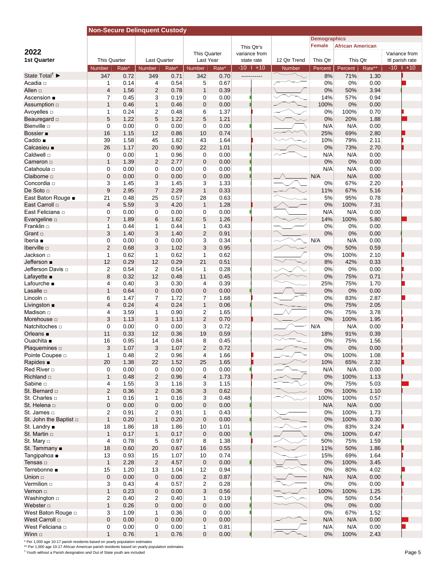|                                        | <b>Non-Secure Delinquent Custody</b> |              |                                |              |                                |              |                             |                               |                     |                         |              |                                  |  |
|----------------------------------------|--------------------------------------|--------------|--------------------------------|--------------|--------------------------------|--------------|-----------------------------|-------------------------------|---------------------|-------------------------|--------------|----------------------------------|--|
|                                        |                                      |              |                                |              |                                |              |                             |                               | <b>Demographics</b> |                         |              |                                  |  |
|                                        |                                      |              |                                |              |                                |              | This Qtr's                  |                               | <b>Female</b>       | <b>African American</b> |              |                                  |  |
| 2022<br><b>1st Quarter</b>             |                                      |              | <b>Last Quarter</b>            |              | This Quarter<br>Last Year      |              | variance from               |                               |                     |                         |              | Variance from                    |  |
|                                        | <b>This Quarter</b><br><b>Number</b> | Rate*        | <b>Number</b>                  | Rate*        | Number                         | Rate*        | state rate<br>$-10$   $+10$ | 12 Qtr Trend<br><b>Number</b> | This Qtr<br>Percent | This Qtr<br>Percent     | Rate**       | ttl parish rate<br>$-10$   $+10$ |  |
| State Total <sup>†</sup>               | 347                                  | 0.72         | 349                            | 0.71         | 342                            | 0.70         | -----------                 |                               | 8%                  | 71%                     | 1.30         |                                  |  |
| Acadia □                               | $\mathbf{1}$                         | 0.14         | $\overline{4}$                 | 0.54         | 5 <sub>5</sub>                 | 0.67         |                             |                               | 0%                  | 0%                      | 0.00         |                                  |  |
| Allen □                                | $\overline{\mathbf{4}}$              | 1.56         | $\sqrt{2}$                     | 0.78         | $\mathbf{1}$                   | 0.39         |                             |                               | 0%                  | 50%                     | 3.94         |                                  |  |
| Ascension ■                            | $\overline{7}$                       | 0.45         | 3                              | 0.19         | 0                              | 0.00         |                             |                               | 14%                 | 57%                     | 0.94         |                                  |  |
| Assumption □                           | $\mathbf{1}$                         | 0.46         | $\mathbf{1}$                   | 0.46         | $\mathbf 0$                    | 0.00         |                             |                               | 100%                | 0%                      | 0.00         |                                  |  |
| Avoyelles <b>D</b>                     | $\mathbf{1}$                         | 0.24         | $\overline{2}$                 | 0.48         | 6                              | 1.37         |                             |                               | 0%                  | 100%                    | 0.70         |                                  |  |
| Beauregard <b>D</b>                    | 5                                    | 1.22         | 5                              | 1.22         | 5                              | 1.21         |                             |                               | 0%                  | 20%                     | 1.88         |                                  |  |
| Bienville <b>D</b>                     | 0                                    | 0.00         | $\mathbf{0}$                   | 0.00         | $\mathbf{0}$                   | 0.00         |                             |                               | N/A                 | N/A                     | 0.00         |                                  |  |
| Bossier <b>=</b>                       | 16                                   | 1.15         | 12                             | 0.86         | 10                             | 0.74         |                             |                               | 25%                 | 69%                     | 2.80         |                                  |  |
| Caddo ■<br>Calcasieu ■                 | 39<br>26                             | 1.58<br>1.17 | 45<br>20                       | 1.82<br>0.90 | 43<br>22                       | 1.64<br>1.01 |                             |                               | 10%<br>0%           | 79%<br>73%              | 2.11<br>2.70 |                                  |  |
| Caldwell □                             | 0                                    | 0.00         | 1                              | 0.96         | 0                              | 0.00         |                             |                               | N/A                 | N/A                     | 0.00         |                                  |  |
| Cameron □                              | $\mathbf{1}$                         | 1.39         | $\overline{2}$                 | 2.77         | $\mathbf 0$                    | 0.00         |                             |                               | 0%                  | 0%                      | 0.00         |                                  |  |
| Catahoula □                            | 0                                    | 0.00         | $\mathbf{0}$                   | 0.00         | $\mathbf{0}$                   | 0.00         |                             |                               | N/A                 | N/A                     | 0.00         |                                  |  |
| Claiborne <b>D</b>                     | $\mathbf 0$                          | 0.00         | 0                              | 0.00         | $\mathbf 0$                    | 0.00         |                             |                               | N/A                 | N/A                     | 0.00         |                                  |  |
| Concordia □                            | 3                                    | 1.45         | 3                              | 1.45         | 3                              | 1.33         |                             |                               | 0%                  | 67%                     | 2.20         |                                  |  |
| De Soto <b>D</b>                       | 9                                    | 2.95         | $\overline{7}$                 | 2.29         | $\mathbf{1}$                   | 0.33         |                             |                               | 11%                 | 67%                     | 5.16         |                                  |  |
| East Baton Rouge .                     | 21                                   | 0.48         | 25                             | 0.57         | 28                             | 0.63         |                             |                               | 5%                  | 95%                     | 0.78         |                                  |  |
| East Carroll D                         | $\overline{4}$                       | 5.59         | 3                              | 4.20         | $\mathbf{1}$                   | 1.28         |                             |                               | 0%                  | 100%                    | 7.31         |                                  |  |
| East Feliciana □                       | 0                                    | 0.00         | 0                              | 0.00         | 0                              | 0.00         |                             |                               | N/A                 | N/A                     | 0.00         |                                  |  |
| Evangeline <b>D</b>                    | $\overline{7}$                       | 1.89         | 6                              | 1.62         | 5                              | 1.26         |                             |                               | 14%                 | 100%                    | 5.80         |                                  |  |
| Franklin o                             | $\mathbf{1}$                         | 0.44         | $\mathbf{1}$                   | 0.44         | $\mathbf{1}$                   | 0.43         |                             |                               | 0%                  | 0%                      | 0.00         |                                  |  |
| Grant $\Box$                           | 3                                    | 1.40         | 3                              | 1.40         | $\overline{2}$                 | 0.91         |                             |                               | 0%                  | 0%                      | 0.00         |                                  |  |
| Iberia <b>■</b>                        | 0                                    | 0.00         | $\mathbf{0}$                   | 0.00         | 3 <sup>1</sup>                 | 0.34         |                             |                               | N/A                 | N/A                     | 0.00         |                                  |  |
| Iberville $\square$                    | $\mathbf{2}$                         | 0.68         | 3                              | 1.02         | 3                              | 0.95         |                             |                               | 0%                  | 50%                     | 0.59         |                                  |  |
|                                        | $\mathbf{1}$<br>12                   | 0.62         | $\mathbf{1}$<br>12             | 0.62<br>0.29 | $\mathbf{1}$<br>21             | 0.62         |                             |                               | 0%                  | 100%                    | 2.10         |                                  |  |
| Jefferson ∎<br>Jefferson Davis □       |                                      | 0.29         |                                | 0.54         | $\mathbf{1}$                   | 0.51<br>0.28 |                             |                               | 8%                  | 42%<br>0%               | 0.33         |                                  |  |
| Lafayette $\blacksquare$               | $\overline{2}$<br>8                  | 0.54<br>0.32 | $\overline{2}$<br>12           | 0.48         | 11                             | 0.45         |                             |                               | 0%<br>0%            | 75%                     | 0.00<br>0.71 |                                  |  |
| Lafourche ■                            | $\overline{4}$                       | 0.40         | 3                              | 0.30         | $\overline{4}$                 | 0.39         |                             |                               | 25%                 | 75%                     | 1.70         |                                  |  |
| Lasalle <b>D</b>                       | $\mathbf{1}$                         | 0.64         | $\pmb{0}$                      | 0.00         | $\pmb{0}$                      | 0.00         |                             |                               | 0%                  | 0%                      | 0.00         |                                  |  |
| Lincoln o                              | 6                                    | 1.47         | $\overline{7}$                 | 1.72         | $\overline{7}$                 | 1.68         |                             |                               | 0%                  | 83%                     | 2.87         |                                  |  |
| Livingston $\blacksquare$              | $\overline{4}$                       | 0.24         | $\overline{4}$                 | 0.24         | 1 <sup>1</sup>                 | 0.06         |                             |                               | 0%                  | 75%                     | 2.05         |                                  |  |
| Madison □                              | $\overline{4}$                       | 3.59         | $\mathbf{1}$                   | 0.90         | $\overline{a}$                 | 1.65         |                             |                               | 0%                  | 75%                     | 3.78         |                                  |  |
| Morehouse <b>D</b>                     | 3                                    | 1.13         | 3                              | 1.13         | $\overline{2}$                 | 0.70         |                             |                               | 0%                  | 100%                    | 1.95         |                                  |  |
| Natchitoches □                         | 0                                    | 0.00         | $\mathbf{0}$                   | 0.00         | 3 <sup>1</sup>                 | 0.72         |                             |                               | N/A                 | N/A                     | 0.00         |                                  |  |
| Orleans $\blacksquare$                 | 11                                   | 0.33         | 12                             | 0.36         | 19                             | 0.59         |                             |                               | 18%                 | 91%                     | 0.39         |                                  |  |
| Ouachita ■                             | 16                                   | 0.95         | 14                             | 0.84         | 8                              | 0.45         |                             |                               | 0%                  | 75%                     | 1.56         |                                  |  |
| Plaquemines □                          | 3                                    | 1.07         | 3                              | 1.07         | $\overline{2}$                 | 0.72         |                             |                               | 0%                  | 0%                      | 0.00         |                                  |  |
| Pointe Coupee D                        | 1 <sup>1</sup>                       | 0.48         | $\overline{c}$                 | 0.96         | $\overline{4}$                 | 1.66         |                             |                               | 0%                  | 100%                    | 1.08         |                                  |  |
| Rapides $\blacksquare$                 | 20                                   | 1.38         | 22                             | 1.52         | 25                             | 1.65         |                             |                               | 10%                 | 65%                     | 2.32         |                                  |  |
| Red River □                            | $\mathbf{0}$                         | 0.00         | $\mathbf{0}$                   | 0.00         | $\mathbf{0}$                   | 0.00         |                             |                               | N/A                 | N/A                     | 0.00         |                                  |  |
| Richland $\Box$                        | $\mathbf{1}$                         | 0.48         | $\overline{\mathbf{c}}$        | 0.96         | $\overline{4}$                 | 1.73         |                             |                               | 0%                  | 100%                    | 1.13         |                                  |  |
| Sabine <b>D</b>                        | $\overline{4}$                       | 1.55         | 3 <sup>1</sup>                 | 1.16         | 3 <sup>1</sup>                 | 1.15         |                             |                               | 0%                  | 75%                     | 5.03         |                                  |  |
| St. Bernard □<br>St. Charles $\square$ | $\overline{2}$<br>$\mathbf{1}$       | 0.36<br>0.16 | $\overline{2}$<br>$\mathbf{1}$ | 0.36<br>0.16 | $\mathbf{3}$<br>3              | 0.62<br>0.48 |                             |                               | 0%<br>100%          | 100%<br>100%            | 1.10<br>0.57 |                                  |  |
| St. Helena D                           | $\mathbf{0}$                         | 0.00         | $\mathbf 0$                    | 0.00         | $\mathbf{0}$                   | 0.00         |                             |                               | N/A                 | N/A                     | 0.00         |                                  |  |
| St. James □                            | $\overline{a}$                       | 0.91         | 2                              | 0.91         | $\mathbf{1}$                   | 0.43         |                             |                               | 0%                  | 100%                    | 1.73         |                                  |  |
| St. John the Baptist □                 | $\mathbf{1}$                         | 0.20         | $\mathbf{1}$                   | 0.20         | $\mathbf{0}$                   | 0.00         |                             |                               | 0%                  | 100%                    | 0.30         |                                  |  |
| St. Landry ■                           | 18                                   | 1.86         | 18                             | 1.86         | 10 <sup>1</sup>                | 1.01         |                             |                               | 0%                  | 83%                     | 3.24         |                                  |  |
| St. Martin $\square$                   | $\mathbf{1}$                         | 0.17         | $\mathbf{1}$                   | 0.17         | $\pmb{0}$                      | 0.00         |                             |                               | 0%                  | 100%                    | 0.47         |                                  |  |
| St. Mary □                             | $\overline{4}$                       | 0.78         | 5                              | 0.97         | 8                              | 1.38         |                             |                               | 50%                 | 75%                     | 1.59         |                                  |  |
| St. Tammany ■                          | 18                                   | 0.60         | 20                             | 0.67         | 16                             | 0.55         |                             |                               | 11%                 | 50%                     | 1.86         |                                  |  |
| Tangipahoa ■                           | 13                                   | 0.93         | 15 <sub>1</sub>                | 1.07         | 10 <sup>°</sup>                | 0.74         |                             |                               | 15%                 | 69%                     | 1.64         |                                  |  |
| Tensas □                               | $\mathbf{1}$                         | 2.28         | 2 <sup>1</sup>                 | 4.57         | $\pmb{0}$                      | 0.00         |                             |                               | 0%                  | 100%                    | 3.45         |                                  |  |
| Terrebonne ■                           | 15                                   | 1.20         | 13                             | 1.04         | 12                             | 0.94         |                             |                               | 0%                  | 80%                     | 4.02         |                                  |  |
| Union $\Box$                           | $\pmb{0}$                            | 0.00         | 0                              | 0.00         | $\overline{\mathbf{c}}$        | 0.87         |                             |                               | N/A                 | N/A                     | 0.00         |                                  |  |
| Vermilion <b>D</b>                     | 3                                    | 0.43         | $\overline{4}$                 | 0.57         | $\mathbf{2}$                   | 0.28         |                             |                               | 0%                  | $0\%$                   | 0.00         |                                  |  |
| Vernon o                               | $\mathbf{1}$                         | 0.23         | 0                              | 0.00         | 3                              | 0.56         |                             |                               | 100%                | 100%                    | 1.25         |                                  |  |
| Washington $\square$                   | $\overline{a}$                       | 0.40         | $\overline{2}$                 | 0.40         | 1 <sup>1</sup>                 | 0.19         |                             |                               | 0%                  | 50%                     | 0.54         |                                  |  |
| Webster $\square$                      | $\mathbf{1}$                         | 0.26         | $\mathbf{0}$                   | 0.00         | $\pmb{0}$                      | 0.00         |                             |                               | 0%                  | 0%                      | 0.00         |                                  |  |
| West Baton Rouge a                     | 3                                    | 1.09         | $\mathbf{1}$                   | 0.36         | $\mathbf{0}$                   | 0.00         |                             |                               | 0%                  | 67%                     | 1.52         |                                  |  |
| West Carroll □                         | $\mathbf{0}$                         | 0.00         | $\mathbf{0}$                   | 0.00         | $\mathbf{0}$                   | 0.00         |                             |                               | N/A                 | N/A                     | 0.00         |                                  |  |
| West Feliciana a                       | $\mathbf{0}$                         | 0.00         | $\mathbf{0}$<br>1 <sup>1</sup> | 0.00<br>0.76 | 1 <sup>1</sup><br>$\mathbf{0}$ | 0.81         |                             |                               | N/A<br>0%           | N/A<br>100%             | 0.00<br>2.43 |                                  |  |
| Winn $\Box$                            | 1                                    | 0.76         |                                |              |                                | 0.00         |                             |                               |                     |                         |              |                                  |  |